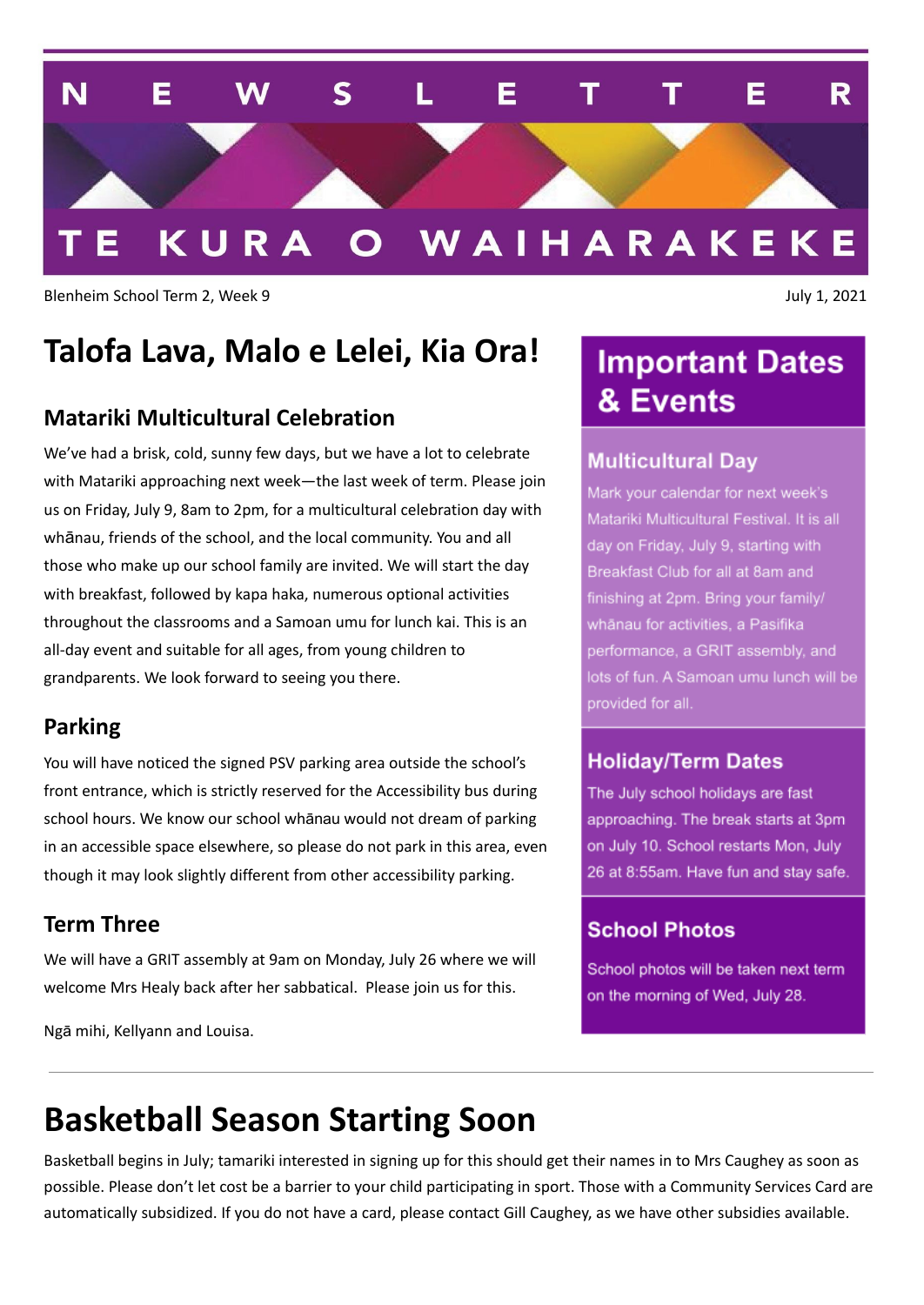

Blenheim School Term 2, Week 9 July 1, 2021

### **Talofa Lava, Malo e Lelei, Kia Ora!**

#### **Matariki Multicultural Celebration**

We've had a brisk, cold, sunny few days, but we have a lot to celebrate with Matariki approaching next week—the last week of term. Please join us on Friday, July 9, 8am to 2pm, for a multicultural celebration day with whānau, friends of the school, and the local community. You and all those who make up our school family are invited. We will start the day with breakfast, followed by kapa haka, numerous optional activities throughout the classrooms and a Samoan umu for lunch kai. This is an all-day event and suitable for all ages, from young children to grandparents. We look forward to seeing you there.

#### **Parking**

You will have noticed the signed PSV parking area outside the school's front entrance, which is strictly reserved for the Accessibility bus during school hours. We know our school whānau would not dream of parking in an accessible space elsewhere, so please do not park in this area, even though it may look slightly different from other accessibility parking.

#### **Term Three**

We will have a GRIT assembly at 9am on Monday, July 26 where we will welcome Mrs Healy back after her sabbatical. Please join us for this.

Ngā mihi, Kellyann and Louisa.

### **Important Dates** & Events

#### **Multicultural Day**

Mark your calendar for next week's Matariki Multicultural Festival. It is all day on Friday, July 9, starting with Breakfast Club for all at 8am and finishing at 2pm. Bring your family/ whānau for activities, a Pasifika performance, a GRIT assembly, and lots of fun. A Samoan umu lunch will be provided for all.

#### **Holiday/Term Dates**

The July school holidays are fast approaching. The break starts at 3pm on July 10. School restarts Mon, July 26 at 8:55am. Have fun and stay safe.

#### **School Photos**

School photos will be taken next term on the morning of Wed, July 28.

# **Basketball Season Starting Soon**

Basketball begins in July; tamariki interested in signing up for this should get their names in to Mrs Caughey as soon as possible. Please don't let cost be a barrier to your child participating in sport. Those with a Community Services Card are automatically subsidized. If you do not have a card, please contact Gill Caughey, as we have other subsidies available.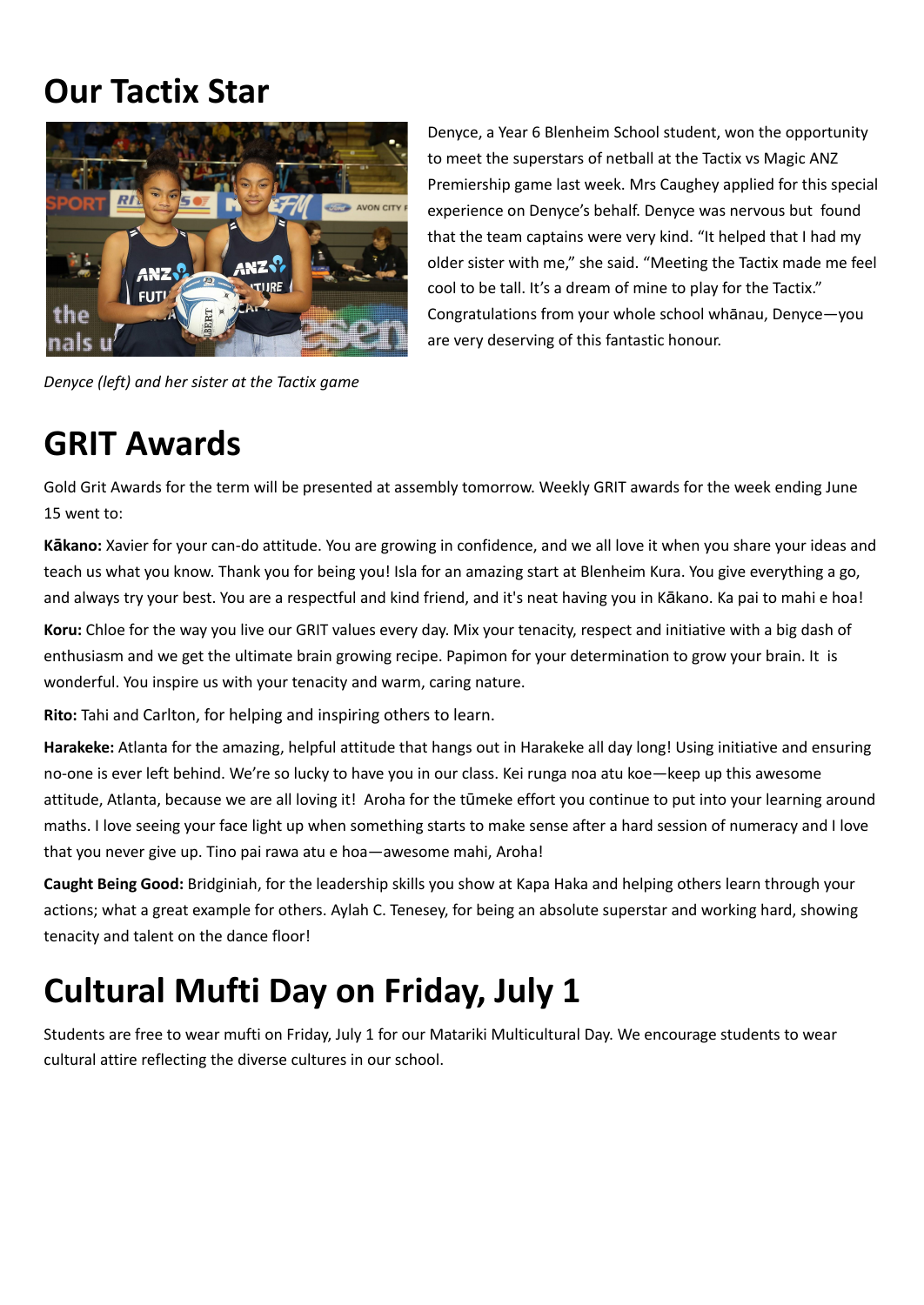## **Our Tactix Star**



*Denyce (left) and her sister at the Tactix game*

Denyce, a Year 6 Blenheim School student, won the opportunity to meet the superstars of netball at the Tactix vs Magic ANZ Premiership game last week. Mrs Caughey applied for this special experience on Denyce's behalf. Denyce was nervous but found that the team captains were very kind. "It helped that I had my older sister with me," she said. "Meeting the Tactix made me feel cool to be tall. It's a dream of mine to play for the Tactix." Congratulations from your whole school whānau, Denyce—you are very deserving of this fantastic honour.

### **GRIT Awards**

Gold Grit Awards for the term will be presented at assembly tomorrow. Weekly GRIT awards for the week ending June 15 went to:

**Kākano:** Xavier for your can-do attitude. You are growing in confidence, and we all love it when you share your ideas and teach us what you know. Thank you for being you! Isla for an amazing start at Blenheim Kura. You give everything a go, and always try your best. You are a respectful and kind friend, and it's neat having you in Kākano. Ka pai to mahi e hoa!

**Koru:** Chloe for the way you live our GRIT values every day. Mix your tenacity, respect and initiative with a big dash of enthusiasm and we get the ultimate brain growing recipe. Papimon for your determination to grow your brain. It is wonderful. You inspire us with your tenacity and warm, caring nature.

**Rito:** Tahi and Carlton, for helping and inspiring others to learn.

**Harakeke:** Atlanta for the amazing, helpful attitude that hangs out in Harakeke all day long! Using initiative and ensuring no-one is ever left behind. We're so lucky to have you in our class. Kei runga noa atu koe—keep up this awesome attitude, Atlanta, because we are all loving it! Aroha for the tūmeke effort you continue to put into your learning around maths. I love seeing your face light up when something starts to make sense after a hard session of numeracy and I love that you never give up. Tino pai rawa atu e hoa—awesome mahi, Aroha!

**Caught Being Good:** Bridginiah, for the leadership skills you show at Kapa Haka and helping others learn through your actions; what a great example for others. Aylah C. Tenesey, for being an absolute superstar and working hard, showing tenacity and talent on the dance floor!

# **Cultural Mufti Day on Friday, July 1**

Students are free to wear mufti on Friday, July 1 for our Matariki Multicultural Day. We encourage students to wear cultural attire reflecting the diverse cultures in our school.